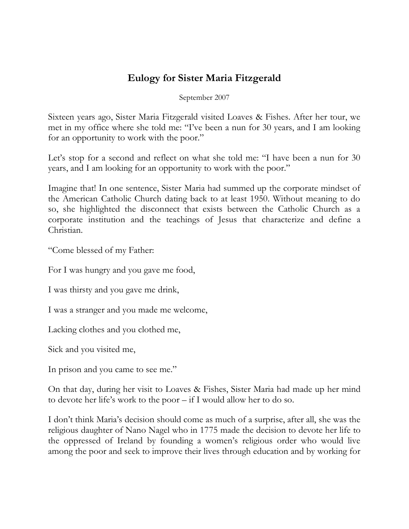## **Eulogy for Sister Maria Fitzgerald**

September 2007

Sixteen years ago, Sister Maria Fitzgerald visited Loaves & Fishes. After her tour, we met in my office where she told me: "I've been a nun for 30 years, and I am looking for an opportunity to work with the poor."

Let's stop for a second and reflect on what she told me: "I have been a nun for 30 years, and I am looking for an opportunity to work with the poor."

Imagine that! In one sentence, Sister Maria had summed up the corporate mindset of the American Catholic Church dating back to at least 1950. Without meaning to do so, she highlighted the disconnect that exists between the Catholic Church as a corporate institution and the teachings of Jesus that characterize and define a Christian.

"Come blessed of my Father:

For I was hungry and you gave me food,

I was thirsty and you gave me drink,

I was a stranger and you made me welcome,

Lacking clothes and you clothed me,

Sick and you visited me,

In prison and you came to see me."

On that day, during her visit to Loaves & Fishes, Sister Maria had made up her mind to devote her life's work to the poor – if I would allow her to do so.

I don't think Maria's decision should come as much of a surprise, after all, she was the religious daughter of Nano Nagel who in 1775 made the decision to devote her life to the oppressed of Ireland by founding a women's religious order who would live among the poor and seek to improve their lives through education and by working for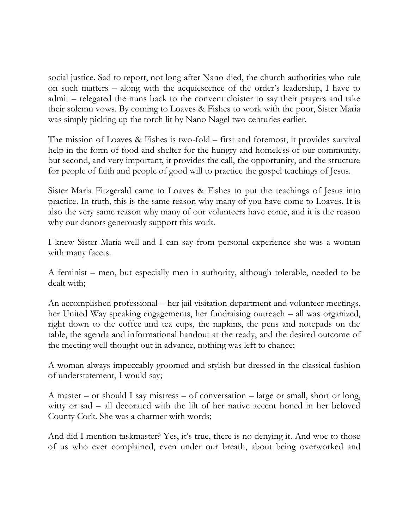social justice. Sad to report, not long after Nano died, the church authorities who rule on such matters – along with the acquiescence of the order's leadership, I have to admit – relegated the nuns back to the convent cloister to say their prayers and take their solemn vows. By coming to Loaves & Fishes to work with the poor, Sister Maria was simply picking up the torch lit by Nano Nagel two centuries earlier.

The mission of Loaves & Fishes is two-fold – first and foremost, it provides survival help in the form of food and shelter for the hungry and homeless of our community, but second, and very important, it provides the call, the opportunity, and the structure for people of faith and people of good will to practice the gospel teachings of Jesus.

Sister Maria Fitzgerald came to Loaves & Fishes to put the teachings of Jesus into practice. In truth, this is the same reason why many of you have come to Loaves. It is also the very same reason why many of our volunteers have come, and it is the reason why our donors generously support this work.

I knew Sister Maria well and I can say from personal experience she was a woman with many facets.

A feminist – men, but especially men in authority, although tolerable, needed to be dealt with;

An accomplished professional – her jail visitation department and volunteer meetings, her United Way speaking engagements, her fundraising outreach – all was organized, right down to the coffee and tea cups, the napkins, the pens and notepads on the table, the agenda and informational handout at the ready, and the desired outcome of the meeting well thought out in advance, nothing was left to chance;

A woman always impeccably groomed and stylish but dressed in the classical fashion of understatement, I would say;

A master – or should I say mistress – of conversation – large or small, short or long, witty or sad – all decorated with the lilt of her native accent honed in her beloved County Cork. She was a charmer with words;

And did I mention taskmaster? Yes, it's true, there is no denying it. And woe to those of us who ever complained, even under our breath, about being overworked and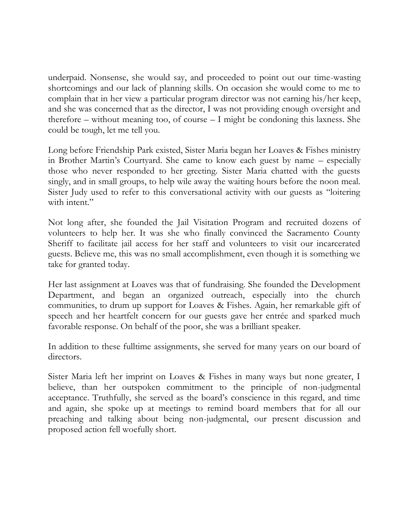underpaid. Nonsense, she would say, and proceeded to point out our time-wasting shortcomings and our lack of planning skills. On occasion she would come to me to complain that in her view a particular program director was not earning his/her keep, and she was concerned that as the director, I was not providing enough oversight and therefore – without meaning too, of course – I might be condoning this laxness. She could be tough, let me tell you.

Long before Friendship Park existed, Sister Maria began her Loaves & Fishes ministry in Brother Martin's Courtyard. She came to know each guest by name – especially those who never responded to her greeting. Sister Maria chatted with the guests singly, and in small groups, to help wile away the waiting hours before the noon meal. Sister Judy used to refer to this conversational activity with our guests as "loitering with intent."

Not long after, she founded the Jail Visitation Program and recruited dozens of volunteers to help her. It was she who finally convinced the Sacramento County Sheriff to facilitate jail access for her staff and volunteers to visit our incarcerated guests. Believe me, this was no small accomplishment, even though it is something we take for granted today.

Her last assignment at Loaves was that of fundraising. She founded the Development Department, and began an organized outreach, especially into the church communities, to drum up support for Loaves & Fishes. Again, her remarkable gift of speech and her heartfelt concern for our guests gave her entrée and sparked much favorable response. On behalf of the poor, she was a brilliant speaker.

In addition to these fulltime assignments, she served for many years on our board of directors.

Sister Maria left her imprint on Loaves & Fishes in many ways but none greater, I believe, than her outspoken commitment to the principle of non-judgmental acceptance. Truthfully, she served as the board's conscience in this regard, and time and again, she spoke up at meetings to remind board members that for all our preaching and talking about being non-judgmental, our present discussion and proposed action fell woefully short.